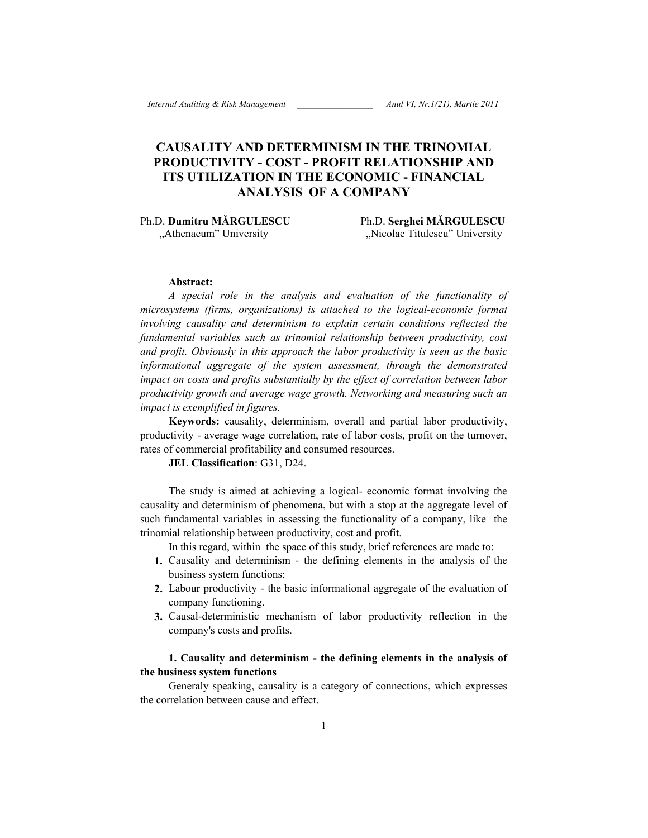# **CAUSALITY AND DETERMINISM IN THE TRINOMIAL PRODUCTIVITY - COST - PROFIT RELATIONSHIP AND ITS UTILIZATION IN THE ECONOMIC - FINANCIAL ANALYSIS OF A COMPANY**

Ph.D. **Dumitru MĂRGULESCU** Ph.D. **Serghei MĂRGULESCU**

"Athenaeum" University "Nicolae Titulescu" University

#### **Abstract:**

*A special role in the analysis and evaluation of the functionality of microsystems (firms, organizations) is attached to the logical-economic format involving causality and determinism to explain certain conditions reflected the fundamental variables such as trinomial relationship between productivity, cost and profit. Obviously in this approach the labor productivity is seen as the basic informational aggregate of the system assessment, through the demonstrated impact on costs and profits substantially by the effect of correlation between labor productivity growth and average wage growth. Networking and measuring such an impact is exemplified in figures.*

**Keywords:** causality, determinism, overall and partial labor productivity, productivity - average wage correlation, rate of labor costs, profit on the turnover, rates of commercial profitability and consumed resources.

#### **JEL Classification**: G31, D24.

The study is aimed at achieving a logical- economic format involving the causality and determinism of phenomena, but with a stop at the aggregate level of such fundamental variables in assessing the functionality of a company, like the trinomial relationship between productivity, cost and profit.

In this regard, within the space of this study, brief references are made to:

- **1.** Causality and determinism the defining elements in the analysis of the business system functions;
- **2.** Labour productivity the basic informational aggregate of the evaluation of company functioning.
- **3.** Causal-deterministic mechanism of labor productivity reflection in the company's costs and profits.

### **1. Causality and determinism - the defining elements in the analysis of the business system functions**

Generaly speaking, causality is a category of connections, which expresses the correlation between cause and effect.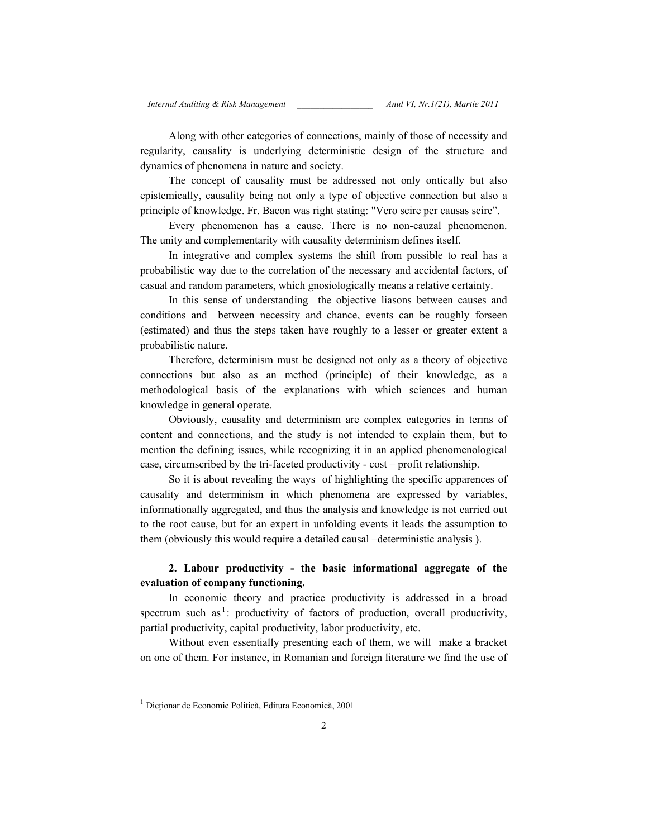Along with other categories of connections, mainly of those of necessity and regularity, causality is underlying deterministic design of the structure and dynamics of phenomena in nature and society.

The concept of causality must be addressed not only ontically but also epistemically, causality being not only a type of objective connection but also a principle of knowledge. Fr. Bacon was right stating: "Vero scire per causas scire".

Every phenomenon has a cause. There is no non-cauzal phenomenon. The unity and complementarity with causality determinism defines itself.

In integrative and complex systems the shift from possible to real has a probabilistic way due to the correlation of the necessary and accidental factors, of casual and random parameters, which gnosiologically means a relative certainty.

In this sense of understanding the objective liasons between causes and conditions and between necessity and chance, events can be roughly forseen (estimated) and thus the steps taken have roughly to a lesser or greater extent a probabilistic nature.

Therefore, determinism must be designed not only as a theory of objective connections but also as an method (principle) of their knowledge, as a methodological basis of the explanations with which sciences and human knowledge in general operate.

Obviously, causality and determinism are complex categories in terms of content and connections, and the study is not intended to explain them, but to mention the defining issues, while recognizing it in an applied phenomenological case, circumscribed by the tri-faceted productivity - cost – profit relationship.

So it is about revealing the ways of highlighting the specific apparences of causality and determinism in which phenomena are expressed by variables, informationally aggregated, and thus the analysis and knowledge is not carried out to the root cause, but for an expert in unfolding events it leads the assumption to them (obviously this would require a detailed causal –deterministic analysis ).

### **2. Labour productivity - the basic informational aggregate of the evaluation of company functioning.**

In economic theory and practice productivity is addressed in a broad spectrum such as<sup>1</sup>: productivity of factors of production, overall productivity, partial productivity, capital productivity, labor productivity, etc.

Without even essentially presenting each of them, we will make a bracket on one of them. For instance, in Romanian and foreign literature we find the use of

 $\overline{\phantom{a}}$ 

<sup>1</sup> Dicţionar de Economie Politică, Editura Economică, 2001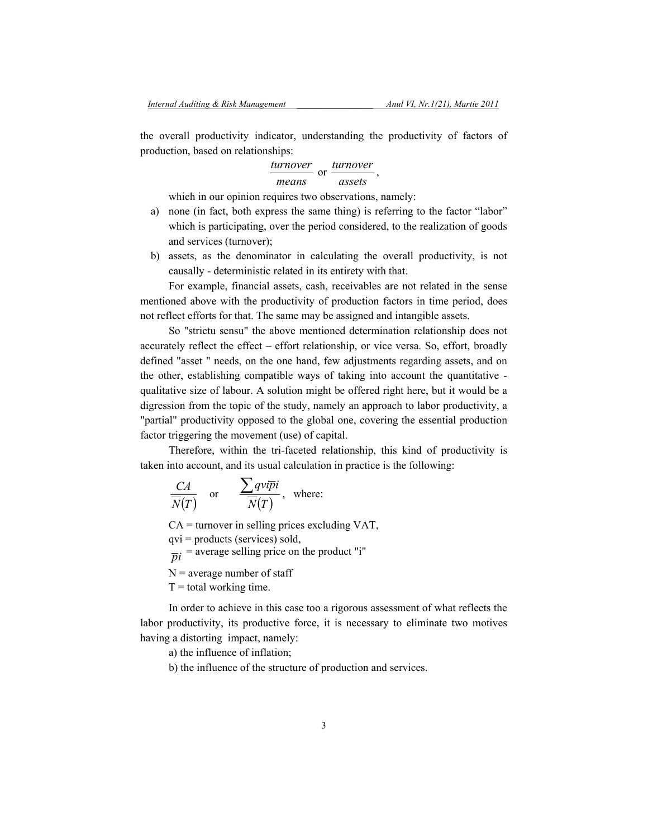the overall productivity indicator, understanding the productivity of factors of production, based on relationships:

> *means turnover* or *assets turnover* ,

which in our opinion requires two observations, namely:

- a) none (in fact, both express the same thing) is referring to the factor "labor" which is participating, over the period considered, to the realization of goods and services (turnover);
- b) assets, as the denominator in calculating the overall productivity, is not causally - deterministic related in its entirety with that.

For example, financial assets, cash, receivables are not related in the sense mentioned above with the productivity of production factors in time period, does not reflect efforts for that. The same may be assigned and intangible assets.

So "strictu sensu" the above mentioned determination relationship does not accurately reflect the effect – effort relationship, or vice versa. So, effort, broadly defined "asset " needs, on the one hand, few adjustments regarding assets, and on the other, establishing compatible ways of taking into account the quantitative qualitative size of labour. A solution might be offered right here, but it would be a digression from the topic of the study, namely an approach to labor productivity, a "partial" productivity opposed to the global one, covering the essential production factor triggering the movement (use) of capital.

Therefore, within the tri-faceted relationship, this kind of productivity is taken into account, and its usual calculation in practice is the following:

$$
\frac{CA}{\overline{N}(T)}
$$
 or 
$$
\frac{\sum qv\overline{ip}i}{\overline{N}(T)}
$$
, where:

 $CA =$  turnover in selling prices excluding VAT,

qvi = products (services) sold,

 $\overline{pi}$  = average selling price on the product "i"

 $N =$  average number of staff

 $T =$  total working time.

In order to achieve in this case too a rigorous assessment of what reflects the labor productivity, its productive force, it is necessary to eliminate two motives having a distorting impact, namely:

a) the influence of inflation;

b) the influence of the structure of production and services.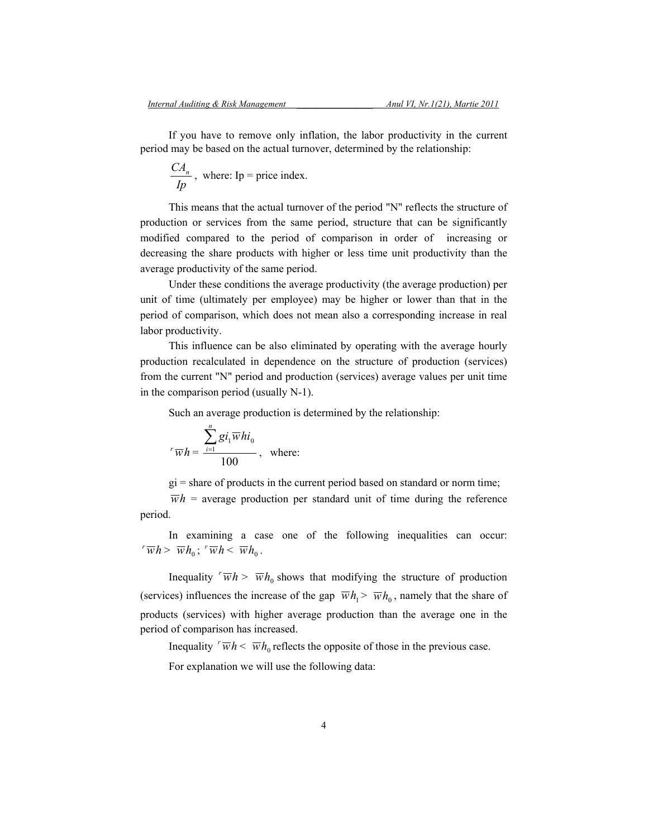If you have to remove only inflation, the labor productivity in the current period may be based on the actual turnover, determined by the relationship:

$$
\frac{CA_n}{Ip}
$$
, where:  $Ip = \text{price index.}$ 

This means that the actual turnover of the period "N" reflects the structure of production or services from the same period, structure that can be significantly modified compared to the period of comparison in order of increasing or decreasing the share products with higher or less time unit productivity than the average productivity of the same period.

Under these conditions the average productivity (the average production) per unit of time (ultimately per employee) may be higher or lower than that in the period of comparison, which does not mean also a corresponding increase in real labor productivity.

This influence can be also eliminated by operating with the average hourly production recalculated in dependence on the structure of production (services) from the current "N" period and production (services) average values per unit time in the comparison period (usually N-1).

Such an average production is determined by the relationship:

$$
r\overline{w}h = \frac{\sum_{i=1}^{n} gi_i \overline{w}hi_0}{100}
$$
, where:

 $gi = share of products in the current period based on standard or norm time;$ 

 $\overline{wh}$  = average production per standard unit of time during the reference period.

In examining a case one of the following inequalities can occur:  $\overline{w}h > \overline{w}h_0$ ;  $\overline{w}h < \overline{w}h_0$ .

Inequality  $\sqrt{w}h > \overline{w}h_0$  shows that modifying the structure of production (services) influences the increase of the gap  $\overline{w}h_1 > \overline{w}h_0$ , namely that the share of products (services) with higher average production than the average one in the period of comparison has increased.

Inequality  $\sqrt{w}h \leq \overline{w}h_0$  reflects the opposite of those in the previous case.

For explanation we will use the following data: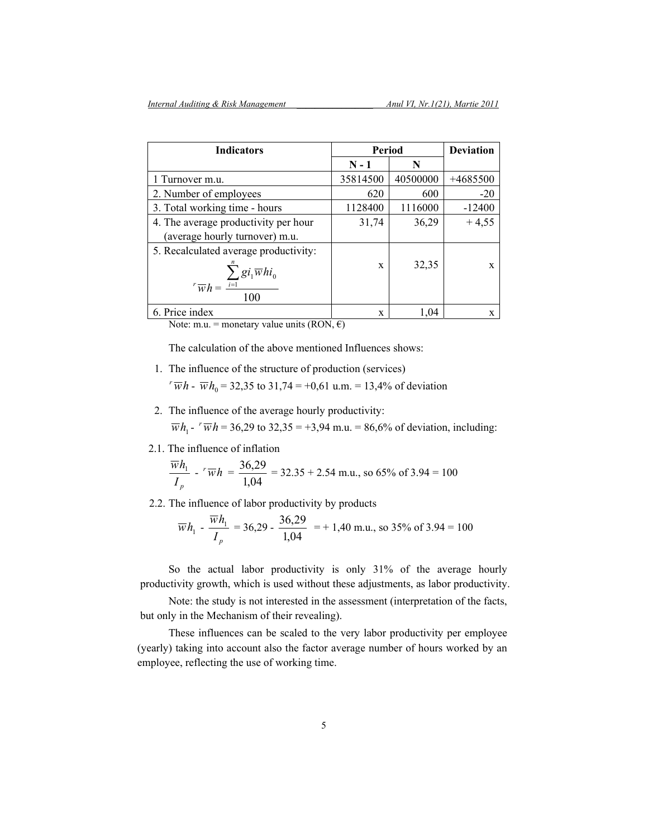| <b>Indicators</b>                                | Period   |          | <b>Deviation</b> |
|--------------------------------------------------|----------|----------|------------------|
|                                                  | $N - 1$  | N        |                  |
| 1 Turnover m.u.                                  | 35814500 | 40500000 | $+4685500$       |
| 2. Number of employees                           | 620      | 600      | $-20$            |
| 3. Total working time - hours                    | 1128400  | 1116000  | $-12400$         |
| 4. The average productivity per hour             | 31,74    | 36,29    | $+4,55$          |
| (average hourly turnover) m.u.                   |          |          |                  |
| 5. Recalculated average productivity:            |          |          |                  |
| $\sum g_i \overline{w} h i_0$                    | X        | 32,35    | X                |
| $\sqrt{r} \overline{w} h = \frac{i-1}{i}$<br>100 |          |          |                  |
| 6. Price index                                   | X        | 1.04     | X                |

Note: m.u. = monetary value units (RON,  $\epsilon$ )

The calculation of the above mentioned Influences shows:

- 1. The influence of the structure of production (services)  $v^r \overline{w} h$  -  $\overline{w} h_0$  = 32,35 to 31,74 = +0,61 u.m. = 13,4% of deviation
- 2. The influence of the average hourly productivity:  $\overline{wh}_1$ -  $\overline{wh}$  = 36,29 to 32,35 = +3,94 m.u. = 86,6% of deviation, including:
- 2.1. The influence of inflation

$$
\frac{\overline{w}h_1}{I_p} - {r \overline{w}h} = \frac{36,29}{1,04} = 32.35 + 2.54 \text{ m.u., so } 65\% \text{ of } 3.94 = 100
$$

2.2. The influence of labor productivity by products

$$
\overline{w}h_1 - \frac{\overline{w}h_1}{I_p} = 36,29 - \frac{36,29}{1,04} = 140
$$
 m.u., so 35% of 3.94 = 100

So the actual labor productivity is only 31% of the average hourly productivity growth, which is used without these adjustments, as labor productivity.

Note: the study is not interested in the assessment (interpretation of the facts, but only in the Mechanism of their revealing).

These influences can be scaled to the very labor productivity per employee (yearly) taking into account also the factor average number of hours worked by an employee, reflecting the use of working time.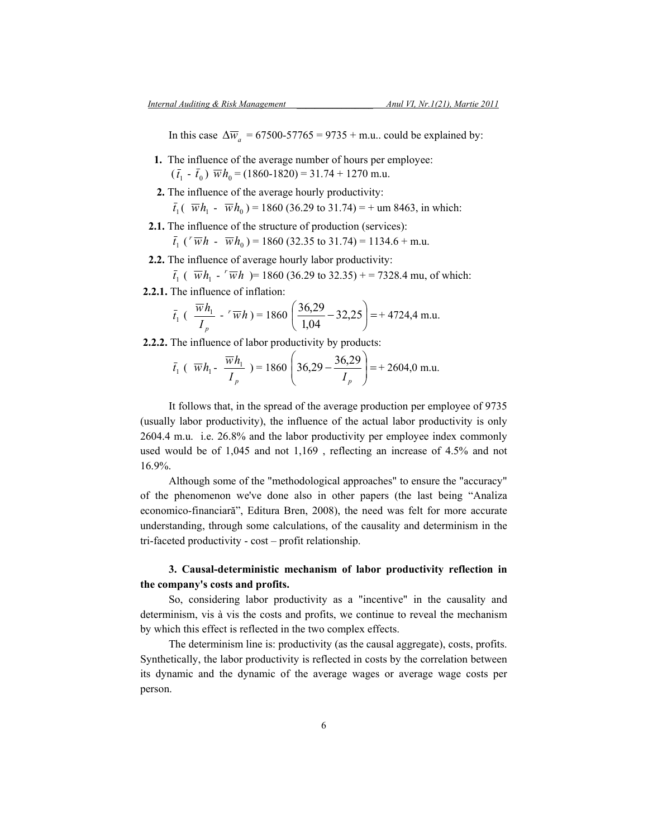In this case  $\Delta \overline{w}_a$  = 67500-57765 = 9735 + m.u.. could be explained by:

- **1.** The influence of the average number of hours per employee:  $(\bar{t}_1 - \bar{t}_0)$   $\overline{w}h_0 = (1860-1820) = 31.74 + 1270$  m.u.
- **2.** The influence of the average hourly productivity:  $\bar{t}_1(\bar{w}h_1 - \bar{w}h_0) = 1860$  (36.29 to 31.74) = + um 8463, in which:
- **2.1.** The influence of the structure of production (services):

 $\overline{t}_1$  ( $\overline{v}$   $\overline{w}$  *h* -  $\overline{w}$  *h*<sub>0</sub>) = 1860 (32.35 to 31.74) = 1134.6 + m.u.

- **2.2.** The influence of average hourly labor productivity:
- $\bar{t}_1$  (  $\bar{w}h_1$   $\bar{w}h_1$  )= 1860 (36.29 to 32.35) + = 7328.4 mu, of which:
- **2.2.1.** The influence of inflation:

$$
\bar{t}_1 \left( \frac{\overline{w} h_1}{I_p} - {r} \overline{w} h \right) = 1860 \left( \frac{36,29}{1,04} - 32,25 \right) = +4724,4 \text{ m.u.}
$$

 **2.2.2.** The influence of labor productivity by products:

$$
\bar{t}_1
$$
 ( $\overline{w}h_1 - \frac{\overline{w}h_1}{I_p}$ ) = 1860  $\left(36,29 - \frac{36,29}{I_p}\right)$  = + 2604,0 m.u.

It follows that, in the spread of the average production per employee of 9735 (usually labor productivity), the influence of the actual labor productivity is only 2604.4 m.u. i.e. 26.8% and the labor productivity per employee index commonly used would be of 1,045 and not 1,169 , reflecting an increase of 4.5% and not 16.9%.

Although some of the "methodological approaches" to ensure the "accuracy" of the phenomenon we've done also in other papers (the last being "Analiza economico-financiară", Editura Bren, 2008), the need was felt for more accurate understanding, through some calculations, of the causality and determinism in the tri-faceted productivity - cost – profit relationship.

## **3. Causal-deterministic mechanism of labor productivity reflection in the company's costs and profits.**

So, considering labor productivity as a "incentive" in the causality and determinism, vis à vis the costs and profits, we continue to reveal the mechanism by which this effect is reflected in the two complex effects.

The determinism line is: productivity (as the causal aggregate), costs, profits. Synthetically, the labor productivity is reflected in costs by the correlation between its dynamic and the dynamic of the average wages or average wage costs per person.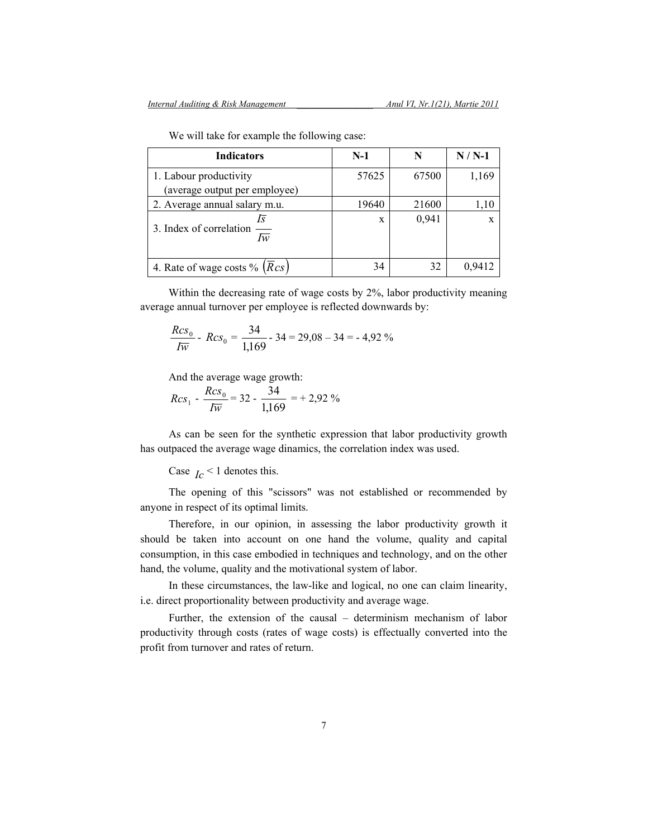| <b>Indicators</b>                          | $N-1$ | N     | $N/N-1$     |
|--------------------------------------------|-------|-------|-------------|
| 1. Labour productivity                     | 57625 | 67500 | 1,169       |
| (average output per employee)              |       |       |             |
| 2. Average annual salary m.u.              | 19640 | 21600 | 1,10        |
| ls<br>3. Index of correlation<br>Ιw        | X     | 0,941 | $\mathbf x$ |
| 4. Rate of wage costs % $(\overline{R}cs)$ | 34    | 32    | 0,9412      |

We will take for example the following case:

Within the decreasing rate of wage costs by 2%, labor productivity meaning average annual turnover per employee is reflected downwards by:

$$
\frac{Rcs_0}{Iw} - Rcs_0 = \frac{34}{1,169} - 34 = 29,08 - 34 = -4,92\%
$$

And the average wage growth:

$$
Rcs_1 - \frac{Rcs_0}{Iw} = 32 - \frac{34}{1,169} = 29.92\%
$$

As can be seen for the synthetic expression that labor productivity growth has outpaced the average wage dinamics, the correlation index was used.

### Case  $I_c$  < 1 denotes this.

The opening of this "scissors" was not established or recommended by anyone in respect of its optimal limits.

Therefore, in our opinion, in assessing the labor productivity growth it should be taken into account on one hand the volume, quality and capital consumption, in this case embodied in techniques and technology, and on the other hand, the volume, quality and the motivational system of labor.

In these circumstances, the law-like and logical, no one can claim linearity, i.e. direct proportionality between productivity and average wage.

Further, the extension of the causal – determinism mechanism of labor productivity through costs (rates of wage costs) is effectually converted into the profit from turnover and rates of return.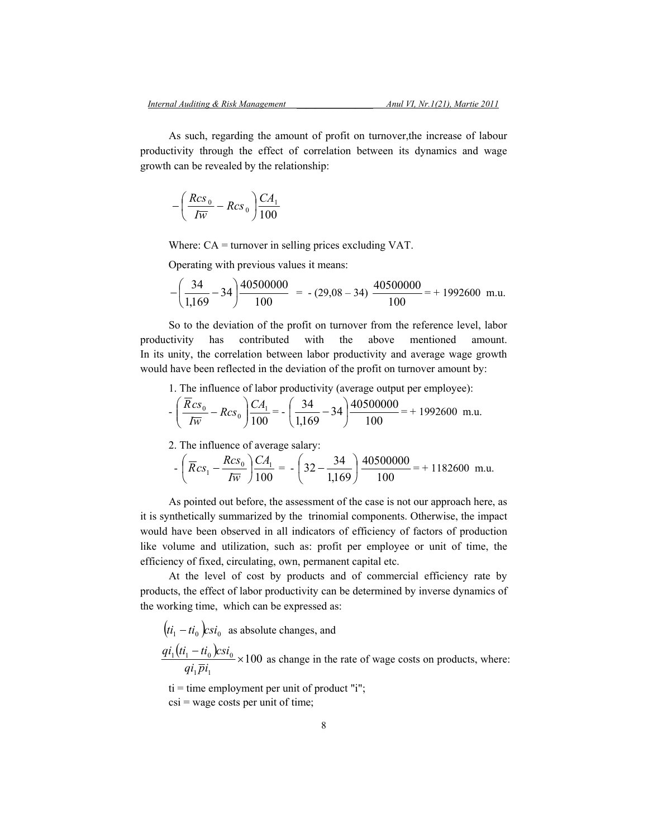As such, regarding the amount of profit on turnover,the increase of labour productivity through the effect of correlation between its dynamics and wage growth can be revealed by the relationship:

$$
-\left(\frac{Rcs_0}{Iw} - Rcs_0\right)\frac{CA_1}{100}
$$

Where: CA = turnover in selling prices excluding VAT.

Operating with previous values it means:

$$
-\left(\frac{34}{1,169}-34\right)\frac{40500000}{100} = -(29,08-34)\frac{40500000}{100} = +1992600
$$
 m.u.

So to the deviation of the profit on turnover from the reference level, labor productivity has contributed with the above mentioned amount. In its unity, the correlation between labor productivity and average wage growth would have been reflected in the deviation of the profit on turnover amount by:

1. The influence of labor productivity (average output per employee):

$$
-\left(\frac{\overline{R}cs_0}{I\overline{w}} - Rcs_0\right)\frac{CA_1}{100} = -\left(\frac{34}{1,169} - 34\right)\frac{40500000}{100} = +1992600
$$
 m.u.

2. The influence of average salary:

$$
-\left(\overline{R}cs_1 - \frac{Rcs_0}{I\overline{w}}\right)\frac{CA_1}{100} = -\left(32 - \frac{34}{1,169}\right)\frac{40500000}{100} = +1182600
$$
 m.u.

As pointed out before, the assessment of the case is not our approach here, as it is synthetically summarized by the trinomial components. Otherwise, the impact would have been observed in all indicators of efficiency of factors of production like volume and utilization, such as: profit per employee or unit of time, the efficiency of fixed, circulating, own, permanent capital etc.

At the level of cost by products and of commercial efficiency rate by products, the effect of labor productivity can be determined by inverse dynamics of the working time, which can be expressed as:

 $(t_i - ti_0)$  *csi*<sub>0</sub> as absolute changes, and  $\frac{qi_1(t_i - ti_0)csi_0}{1 - 1} \times 100$  $_1P\iota_1$  $\frac{1}{1} (t i_1 - t i_0) c s i_0 \times$ *qi pi*  $q_i(t_1 - ti_0) c s i_0 \times 100$  as change in the rate of wage costs on products, where:

 $ti = time$  employment per unit of product "i";

 $\text{cis}$  = wage costs per unit of time;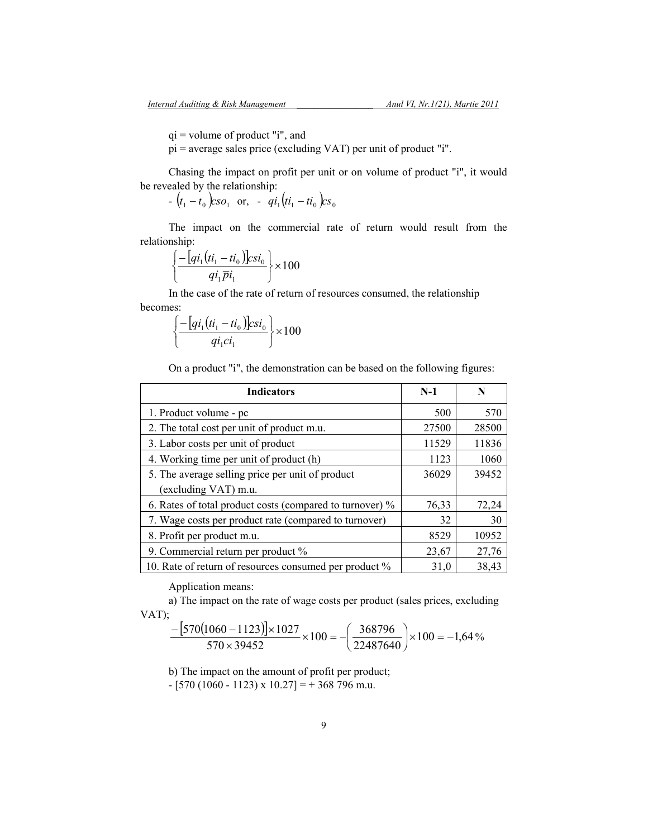qi = volume of product "i", and

pi = average sales price (excluding VAT) per unit of product "i".

Chasing the impact on profit per unit or on volume of product "i", it would be revealed by the relationship:

 $(t_1 - t_0)$  *cso*<sub>1</sub> or,  $qi_1(t_i - ti_0)$  *cs*<sub>0</sub>

The impact on the commercial rate of return would result from the relationship:

$$
\left\{\frac{-\left[qi_1\left(ti_1 - ti_0\right)\right]csi_0}{qi_1\overline{p}i_1}\right\}\times 100
$$

In the case of the rate of return of resources consumed, the relationship becomes:

$$
\left\{\frac{-\left[q i_1\left(t i_1-t i_0\right)\right] c s i_0}{q i_1 c i_1}\right\} \times 100
$$

On a product "i", the demonstration can be based on the following figures:

| <b>Indicators</b>                                        | $N-1$ | N     |
|----------------------------------------------------------|-------|-------|
| 1. Product volume - pc                                   | 500   | 570   |
| 2. The total cost per unit of product m.u.               | 27500 | 28500 |
| 3. Labor costs per unit of product                       | 11529 | 11836 |
| 4. Working time per unit of product (h)                  | 1123  | 1060  |
| 5. The average selling price per unit of product         | 36029 | 39452 |
| (excluding VAT) m.u.                                     |       |       |
| 6. Rates of total product costs (compared to turnover) % | 76,33 | 72,24 |
| 7. Wage costs per product rate (compared to turnover)    | 32    | 30    |
| 8. Profit per product m.u.                               | 8529  | 10952 |
| 9. Commercial return per product %                       | 23,67 | 27,76 |
| 10. Rate of return of resources consumed per product %   | 31,0  | 38,43 |

Application means:

a) The impact on the rate of wage costs per product (sales prices, excluding VAT);

$$
\frac{-\left[570(1060 - 1123)\right] \times 1027}{570 \times 39452} \times 100 = -\left(\frac{368796}{22487640}\right) \times 100 = -1,64\%
$$

b) The impact on the amount of profit per product;

 $-$  [570 (1060 - 1123) x 10.27] = + 368 796 m.u.